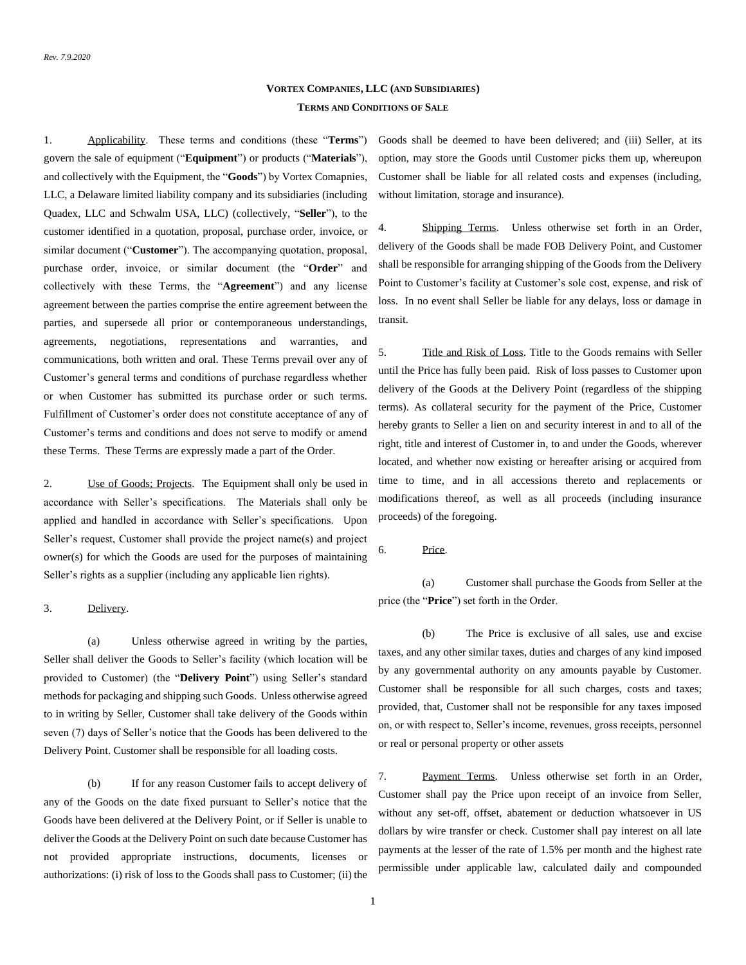## **VORTEX COMPANIES, LLC (AND SUBSIDIARIES) TERMS AND CONDITIONS OF SALE**

1. Applicability. These terms and conditions (these "**Terms**") govern the sale of equipment ("**Equipment**") or products ("**Materials**"), and collectively with the Equipment, the "**Goods**") by Vortex Comapnies, LLC, a Delaware limited liability company and its subsidiaries (including Quadex, LLC and Schwalm USA, LLC) (collectively, "**Seller**"), to the customer identified in a quotation, proposal, purchase order, invoice, or similar document ("**Customer**"). The accompanying quotation, proposal, purchase order, invoice, or similar document (the "**Order**" and collectively with these Terms, the "**Agreement**") and any license agreement between the parties comprise the entire agreement between the parties, and supersede all prior or contemporaneous understandings, agreements, negotiations, representations and warranties, and communications, both written and oral. These Terms prevail over any of Customer's general terms and conditions of purchase regardless whether or when Customer has submitted its purchase order or such terms. Fulfillment of Customer's order does not constitute acceptance of any of Customer's terms and conditions and does not serve to modify or amend these Terms. These Terms are expressly made a part of the Order.

2. Use of Goods; Projects. The Equipment shall only be used in accordance with Seller's specifications. The Materials shall only be applied and handled in accordance with Seller's specifications. Upon Seller's request, Customer shall provide the project name(s) and project owner(s) for which the Goods are used for the purposes of maintaining Seller's rights as a supplier (including any applicable lien rights).

### 3. Delivery.

(a) Unless otherwise agreed in writing by the parties, Seller shall deliver the Goods to Seller's facility (which location will be provided to Customer) (the "**Delivery Point**") using Seller's standard methods for packaging and shipping such Goods. Unless otherwise agreed to in writing by Seller, Customer shall take delivery of the Goods within seven (7) days of Seller's notice that the Goods has been delivered to the Delivery Point. Customer shall be responsible for all loading costs.

(b) If for any reason Customer fails to accept delivery of any of the Goods on the date fixed pursuant to Seller's notice that the Goods have been delivered at the Delivery Point, or if Seller is unable to deliver the Goods at the Delivery Point on such date because Customer has not provided appropriate instructions, documents, licenses or authorizations: (i) risk of loss to the Goods shall pass to Customer; (ii) the Goods shall be deemed to have been delivered; and (iii) Seller, at its option, may store the Goods until Customer picks them up, whereupon Customer shall be liable for all related costs and expenses (including, without limitation, storage and insurance).

4. Shipping Terms. Unless otherwise set forth in an Order, delivery of the Goods shall be made FOB Delivery Point, and Customer shall be responsible for arranging shipping of the Goods from the Delivery Point to Customer's facility at Customer's sole cost, expense, and risk of loss. In no event shall Seller be liable for any delays, loss or damage in transit.

5. Title and Risk of Loss. Title to the Goods remains with Seller until the Price has fully been paid. Risk of loss passes to Customer upon delivery of the Goods at the Delivery Point (regardless of the shipping terms). As collateral security for the payment of the Price, Customer hereby grants to Seller a lien on and security interest in and to all of the right, title and interest of Customer in, to and under the Goods, wherever located, and whether now existing or hereafter arising or acquired from time to time, and in all accessions thereto and replacements or modifications thereof, as well as all proceeds (including insurance proceeds) of the foregoing.

6. Price.

(a) Customer shall purchase the Goods from Seller at the price (the "**Price**") set forth in the Order.

(b) The Price is exclusive of all sales, use and excise taxes, and any other similar taxes, duties and charges of any kind imposed by any governmental authority on any amounts payable by Customer. Customer shall be responsible for all such charges, costs and taxes; provided, that, Customer shall not be responsible for any taxes imposed on, or with respect to, Seller's income, revenues, gross receipts, personnel or real or personal property or other assets

<span id="page-0-0"></span>7. Payment Terms. Unless otherwise set forth in an Order, Customer shall pay the Price upon receipt of an invoice from Seller, without any set-off, offset, abatement or deduction whatsoever in US dollars by wire transfer or check. Customer shall pay interest on all late payments at the lesser of the rate of 1.5% per month and the highest rate permissible under applicable law, calculated daily and compounded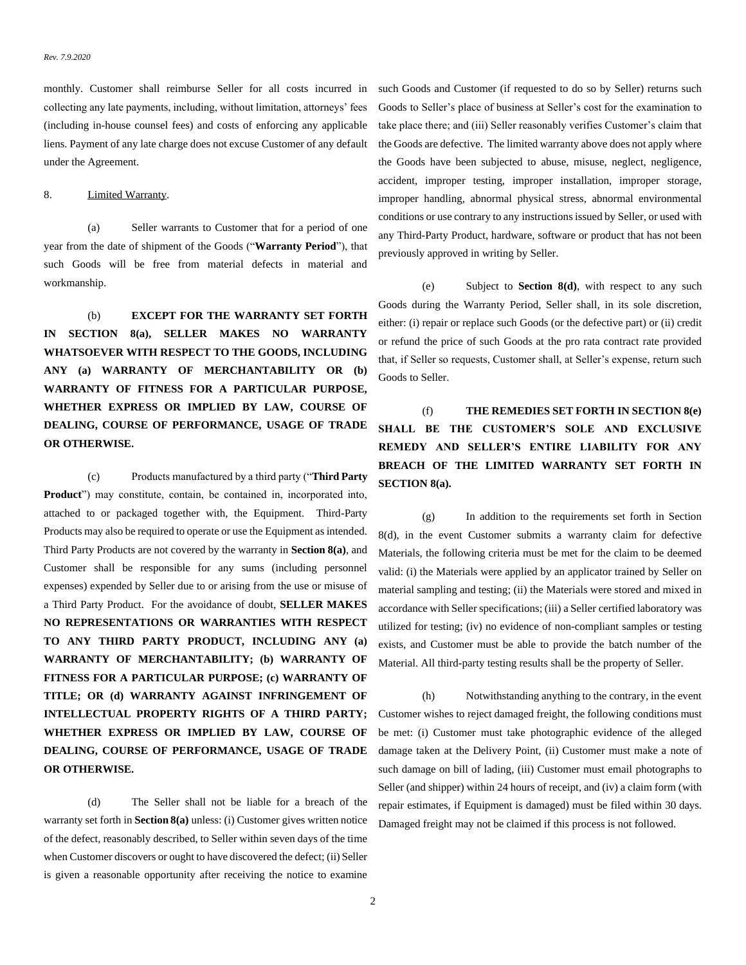monthly. Customer shall reimburse Seller for all costs incurred in collecting any late payments, including, without limitation, attorneys' fees (including in-house counsel fees) and costs of enforcing any applicable liens. Payment of any late charge does not excuse Customer of any default under the Agreement.

### <span id="page-1-3"></span><span id="page-1-0"></span>8. Limited Warranty.

(a) Seller warrants to Customer that for a period of one year from the date of shipment of the Goods ("**Warranty Period**"), that such Goods will be free from material defects in material and workmanship.

(b) **EXCEPT FOR THE WARRANTY SET FORTH IN SECTION [8\(a\),](#page-1-0) SELLER MAKES NO WARRANTY WHATSOEVER WITH RESPECT TO THE GOODS, INCLUDING ANY (a) WARRANTY OF MERCHANTABILITY OR (b) WARRANTY OF FITNESS FOR A PARTICULAR PURPOSE, WHETHER EXPRESS OR IMPLIED BY LAW, COURSE OF DEALING, COURSE OF PERFORMANCE, USAGE OF TRADE OR OTHERWISE.**

(c) Products manufactured by a third party ("**Third Party Product**") may constitute, contain, be contained in, incorporated into, attached to or packaged together with, the Equipment. Third-Party Products may also be required to operate or use the Equipment as intended. Third Party Products are not covered by the warranty in **Sectio[n 8\(a\)](#page-1-0)**, and Customer shall be responsible for any sums (including personnel expenses) expended by Seller due to or arising from the use or misuse of a Third Party Product. For the avoidance of doubt, **SELLER MAKES NO REPRESENTATIONS OR WARRANTIES WITH RESPECT TO ANY THIRD PARTY PRODUCT, INCLUDING ANY (a) WARRANTY OF MERCHANTABILITY; (b) WARRANTY OF FITNESS FOR A PARTICULAR PURPOSE; (c) WARRANTY OF TITLE; OR (d) WARRANTY AGAINST INFRINGEMENT OF INTELLECTUAL PROPERTY RIGHTS OF A THIRD PARTY; WHETHER EXPRESS OR IMPLIED BY LAW, COURSE OF DEALING, COURSE OF PERFORMANCE, USAGE OF TRADE OR OTHERWISE.**

<span id="page-1-1"></span>(d) The Seller shall not be liable for a breach of the warranty set forth in **Sectio[n 8\(a\)](#page-1-0)** unless: (i) Customer gives written notice of the defect, reasonably described, to Seller within seven days of the time when Customer discovers or ought to have discovered the defect; (ii) Seller is given a reasonable opportunity after receiving the notice to examine such Goods and Customer (if requested to do so by Seller) returns such Goods to Seller's place of business at Seller's cost for the examination to take place there; and (iii) Seller reasonably verifies Customer's claim that the Goods are defective. The limited warranty above does not apply where the Goods have been subjected to abuse, misuse, neglect, negligence, accident, improper testing, improper installation, improper storage, improper handling, abnormal physical stress, abnormal environmental conditions or use contrary to any instructions issued by Seller, or used with any Third-Party Product, hardware, software or product that has not been previously approved in writing by Seller.

<span id="page-1-2"></span>(e) Subject to **Section [8\(d\)](#page-1-1)**, with respect to any such Goods during the Warranty Period, Seller shall, in its sole discretion, either: (i) repair or replace such Goods (or the defective part) or (ii) credit or refund the price of such Goods at the pro rata contract rate provided that, if Seller so requests, Customer shall, at Seller's expense, return such Goods to Seller.

(f) **THE REMEDIES SET FORTH IN SECTIO[N 8\(e\)](#page-1-2) SHALL BE THE CUSTOMER'S SOLE AND EXCLUSIVE REMEDY AND SELLER'S ENTIRE LIABILITY FOR ANY BREACH OF THE LIMITED WARRANTY SET FORTH IN SECTION** 8(a).

(g) In addition to the requirements set forth in Section [8\(d\),](#page-1-1) in the event Customer submits a warranty claim for defective Materials, the following criteria must be met for the claim to be deemed valid: (i) the Materials were applied by an applicator trained by Seller on material sampling and testing; (ii) the Materials were stored and mixed in accordance with Seller specifications; (iii) a Seller certified laboratory was utilized for testing; (iv) no evidence of non-compliant samples or testing exists, and Customer must be able to provide the batch number of the Material. All third-party testing results shall be the property of Seller.

(h) Notwithstanding anything to the contrary, in the event Customer wishes to reject damaged freight, the following conditions must be met: (i) Customer must take photographic evidence of the alleged damage taken at the Delivery Point, (ii) Customer must make a note of such damage on bill of lading, (iii) Customer must email photographs to Seller (and shipper) within 24 hours of receipt, and (iv) a claim form (with repair estimates, if Equipment is damaged) must be filed within 30 days. Damaged freight may not be claimed if this process is not followed.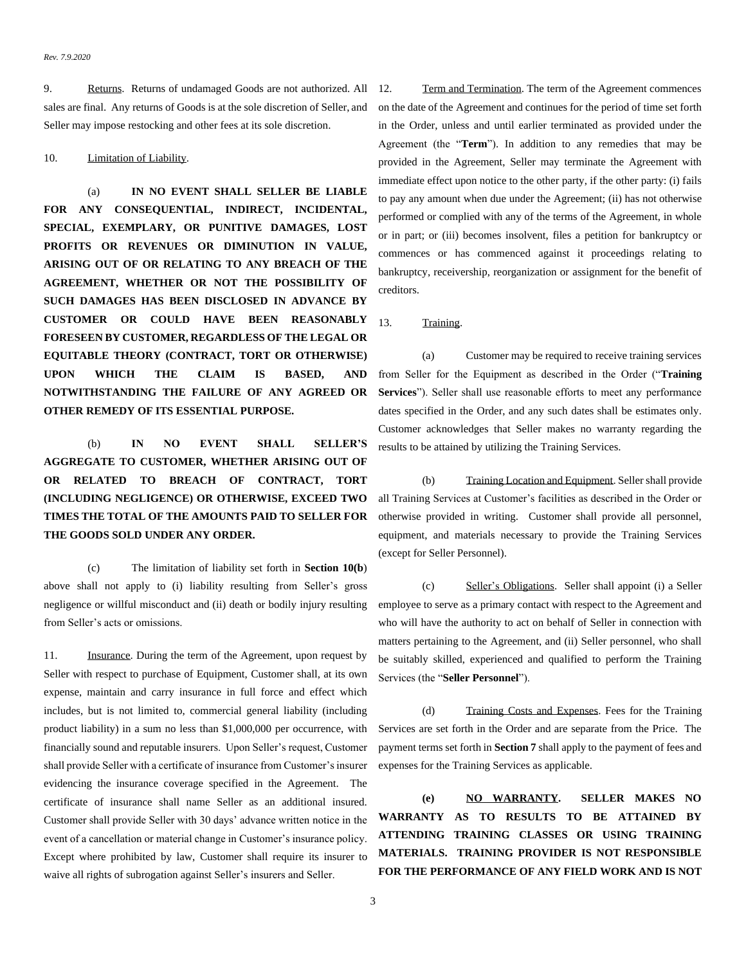#### *Rev. 7.9.2020*

9. Returns. Returns of undamaged Goods are not authorized. All sales are final. Any returns of Goods is at the sole discretion of Seller, and Seller may impose restocking and other fees at its sole discretion.

### <span id="page-2-1"></span>10. Limitation of Liability.

(a) **IN NO EVENT SHALL SELLER BE LIABLE FOR ANY CONSEQUENTIAL, INDIRECT, INCIDENTAL, SPECIAL, EXEMPLARY, OR PUNITIVE DAMAGES, LOST PROFITS OR REVENUES OR DIMINUTION IN VALUE, ARISING OUT OF OR RELATING TO ANY BREACH OF THE AGREEMENT, WHETHER OR NOT THE POSSIBILITY OF SUCH DAMAGES HAS BEEN DISCLOSED IN ADVANCE BY CUSTOMER OR COULD HAVE BEEN REASONABLY FORESEEN BY CUSTOMER, REGARDLESS OF THE LEGAL OR EQUITABLE THEORY (CONTRACT, TORT OR OTHERWISE) UPON WHICH THE CLAIM IS BASED, AND NOTWITHSTANDING THE FAILURE OF ANY AGREED OR OTHER REMEDY OF ITS ESSENTIAL PURPOSE.**

<span id="page-2-0"></span>(b) **IN NO EVENT SHALL SELLER'S AGGREGATE TO CUSTOMER, WHETHER ARISING OUT OF OR RELATED TO BREACH OF CONTRACT, TORT (INCLUDING NEGLIGENCE) OR OTHERWISE, EXCEED TWO TIMES THE TOTAL OF THE AMOUNTS PAID TO SELLER FOR THE GOODS SOLD UNDER ANY ORDER.**

(c) The limitation of liability set forth in **Section [10\(b](#page-2-0)**[\)](#page-2-0) above shall not apply to (i) liability resulting from Seller's gross negligence or willful misconduct and (ii) death or bodily injury resulting from Seller's acts or omissions.

<span id="page-2-2"></span>11. Insurance. During the term of the Agreement, upon request by Seller with respect to purchase of Equipment, Customer shall, at its own expense, maintain and carry insurance in full force and effect which includes, but is not limited to, commercial general liability (including product liability) in a sum no less than \$1,000,000 per occurrence, with financially sound and reputable insurers. Upon Seller's request, Customer shall provide Seller with a certificate of insurance from Customer's insurer evidencing the insurance coverage specified in the Agreement. The certificate of insurance shall name Seller as an additional insured. Customer shall provide Seller with 30 days' advance written notice in the event of a cancellation or material change in Customer's insurance policy. Except where prohibited by law, Customer shall require its insurer to waive all rights of subrogation against Seller's insurers and Seller.

12. Term and Termination. The term of the Agreement commences on the date of the Agreement and continues for the period of time set forth in the Order, unless and until earlier terminated as provided under the Agreement (the "**Term**"). In addition to any remedies that may be provided in the Agreement, Seller may terminate the Agreement with immediate effect upon notice to the other party, if the other party: (i) fails to pay any amount when due under the Agreement; (ii) has not otherwise performed or complied with any of the terms of the Agreement, in whole or in part; or (iii) becomes insolvent, files a petition for bankruptcy or commences or has commenced against it proceedings relating to bankruptcy, receivership, reorganization or assignment for the benefit of creditors.

### <span id="page-2-3"></span>13. Training.

(a) Customer may be required to receive training services from Seller for the Equipment as described in the Order ("**Training Services**"). Seller shall use reasonable efforts to meet any performance dates specified in the Order, and any such dates shall be estimates only. Customer acknowledges that Seller makes no warranty regarding the results to be attained by utilizing the Training Services.

(b) Training Location and Equipment. Seller shall provide all Training Services at Customer's facilities as described in the Order or otherwise provided in writing. Customer shall provide all personnel, equipment, and materials necessary to provide the Training Services (except for Seller Personnel).

(c) Seller's Obligations. Seller shall appoint (i) a Seller employee to serve as a primary contact with respect to the Agreement and who will have the authority to act on behalf of Seller in connection with matters pertaining to the Agreement, and (ii) Seller personnel, who shall be suitably skilled, experienced and qualified to perform the Training Services (the "**Seller Personnel**").

(d) Training Costs and Expenses. Fees for the Training Services are set forth in the Order and are separate from the Price. The payment terms set forth in **Sectio[n 7](#page-0-0)** shall apply to the payment of fees and expenses for the Training Services as applicable.

**(e) NO WARRANTY. SELLER MAKES NO WARRANTY AS TO RESULTS TO BE ATTAINED BY ATTENDING TRAINING CLASSES OR USING TRAINING MATERIALS. TRAINING PROVIDER IS NOT RESPONSIBLE FOR THE PERFORMANCE OF ANY FIELD WORK AND IS NOT**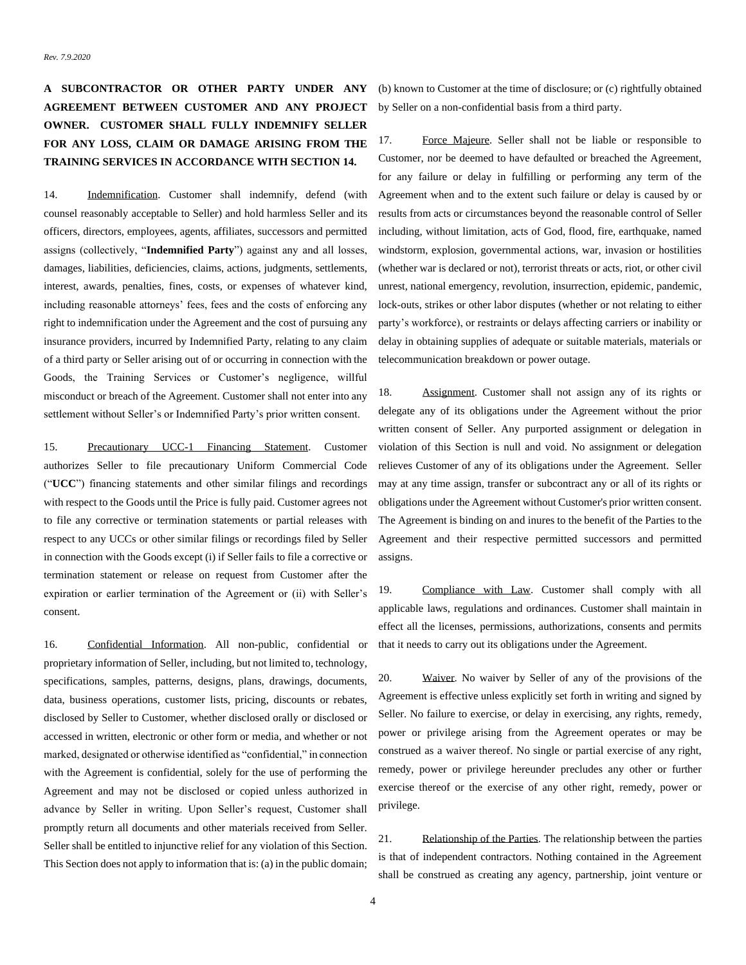# **A SUBCONTRACTOR OR OTHER PARTY UNDER ANY AGREEMENT BETWEEN CUSTOMER AND ANY PROJECT OWNER. CUSTOMER SHALL FULLY INDEMNIFY SELLER FOR ANY LOSS, CLAIM OR DAMAGE ARISING FROM THE TRAINING SERVICES IN ACCORDANCE WITH SECTIO[N 14.](#page-3-0)**

<span id="page-3-0"></span>14. Indemnification. Customer shall indemnify, defend (with counsel reasonably acceptable to Seller) and hold harmless Seller and its officers, directors, employees, agents, affiliates, successors and permitted assigns (collectively, "**Indemnified Party**") against any and all losses, damages, liabilities, deficiencies, claims, actions, judgments, settlements, interest, awards, penalties, fines, costs, or expenses of whatever kind, including reasonable attorneys' fees, fees and the costs of enforcing any right to indemnification under the Agreement and the cost of pursuing any insurance providers, incurred by Indemnified Party, relating to any claim of a third party or Seller arising out of or occurring in connection with the Goods, the Training Services or Customer's negligence, willful misconduct or breach of the Agreement. Customer shall not enter into any settlement without Seller's or Indemnified Party's prior written consent.

15. Precautionary UCC-1 Financing Statement. Customer authorizes Seller to file precautionary Uniform Commercial Code ("**UCC**") financing statements and other similar filings and recordings with respect to the Goods until the Price is fully paid. Customer agrees not to file any corrective or termination statements or partial releases with respect to any UCCs or other similar filings or recordings filed by Seller in connection with the Goods except (i) if Seller fails to file a corrective or termination statement or release on request from Customer after the expiration or earlier termination of the Agreement or (ii) with Seller's consent.

<span id="page-3-1"></span>16. Confidential Information. All non-public, confidential or proprietary information of Seller, including, but not limited to, technology, specifications, samples, patterns, designs, plans, drawings, documents, data, business operations, customer lists, pricing, discounts or rebates, disclosed by Seller to Customer, whether disclosed orally or disclosed or accessed in written, electronic or other form or media, and whether or not marked, designated or otherwise identified as "confidential," in connection with the Agreement is confidential, solely for the use of performing the Agreement and may not be disclosed or copied unless authorized in advance by Seller in writing. Upon Seller's request, Customer shall promptly return all documents and other materials received from Seller. Seller shall be entitled to injunctive relief for any violation of this Section. This Section does not apply to information that is: (a) in the public domain; (b) known to Customer at the time of disclosure; or (c) rightfully obtained by Seller on a non-confidential basis from a third party.

17. Force Majeure. Seller shall not be liable or responsible to Customer, nor be deemed to have defaulted or breached the Agreement, for any failure or delay in fulfilling or performing any term of the Agreement when and to the extent such failure or delay is caused by or results from acts or circumstances beyond the reasonable control of Seller including, without limitation, acts of God, flood, fire, earthquake, named windstorm, explosion, governmental actions, war, invasion or hostilities (whether war is declared or not), terrorist threats or acts, riot, or other civil unrest, national emergency, revolution, insurrection, epidemic, pandemic, lock-outs, strikes or other labor disputes (whether or not relating to either party's workforce), or restraints or delays affecting carriers or inability or delay in obtaining supplies of adequate or suitable materials, materials or telecommunication breakdown or power outage.

18. Assignment. Customer shall not assign any of its rights or delegate any of its obligations under the Agreement without the prior written consent of Seller. Any purported assignment or delegation in violation of this Section is null and void. No assignment or delegation relieves Customer of any of its obligations under the Agreement. Seller may at any time assign, transfer or subcontract any or all of its rights or obligations under the Agreement without Customer's prior written consent. The Agreement is binding on and inures to the benefit of the Parties to the Agreement and their respective permitted successors and permitted assigns.

19. Compliance with Law. Customer shall comply with all applicable laws, regulations and ordinances. Customer shall maintain in effect all the licenses, permissions, authorizations, consents and permits that it needs to carry out its obligations under the Agreement.

20. Waiver. No waiver by Seller of any of the provisions of the Agreement is effective unless explicitly set forth in writing and signed by Seller. No failure to exercise, or delay in exercising, any rights, remedy, power or privilege arising from the Agreement operates or may be construed as a waiver thereof. No single or partial exercise of any right, remedy, power or privilege hereunder precludes any other or further exercise thereof or the exercise of any other right, remedy, power or privilege.

21. Relationship of the Parties. The relationship between the parties is that of independent contractors. Nothing contained in the Agreement shall be construed as creating any agency, partnership, joint venture or